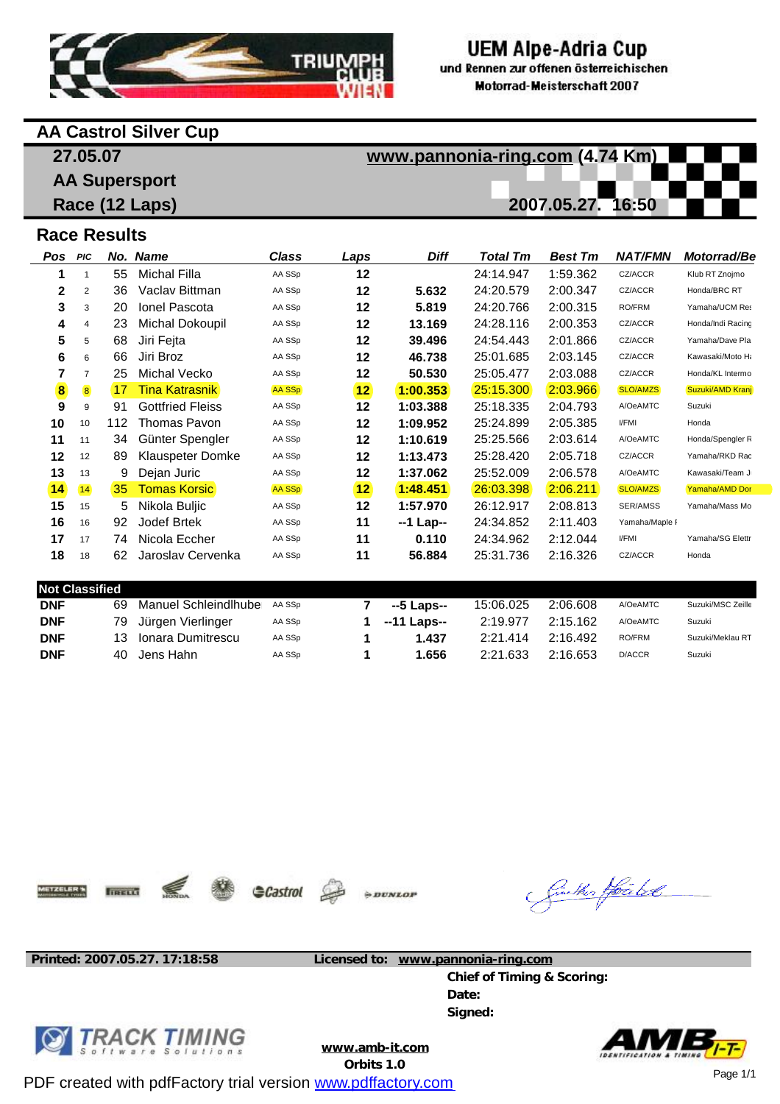

# **UEM Alpe-Adria Cup**

und Rennen zur offenen österreichischen **Motorrad-Meisterschaft 2007** 

### **AA Castrol Silver Cup**

**27.05.07**

**AA Supersport Race (12 Laps)** **[www.pannonia-ring.com](http://www.pannonia-ring.com) (4.74 Km) 2007.05.27. 16:50**

## **Race Results**

| Pos                                   | PIC               |     | No. Name                    | Class  | <b>Laps</b>        | <b>Diff</b> | <b>Total Tm</b> | <b>Best Tm</b> | <b>NAT/FMN</b> | Motorrad/Be       |
|---------------------------------------|-------------------|-----|-----------------------------|--------|--------------------|-------------|-----------------|----------------|----------------|-------------------|
| 1                                     |                   | 55  | <b>Michal Filla</b>         | AA SSp | 12                 |             | 24:14.947       | 1:59.362       | CZ/ACCR        | Klub RT Znojmo    |
| 2                                     | 2                 | 36  | Vaclay Bittman              | AA SSp | 12                 | 5.632       | 24:20.579       | 2:00.347       | CZ/ACCR        | Honda/BRC RT      |
| 3                                     | 3                 | 20  | <b>Ionel Pascota</b>        | AA SSp | 12                 | 5.819       | 24:20.766       | 2:00.315       | RO/FRM         | Yamaha/UCM Res    |
| 4                                     | 4                 | 23  | <b>Michal Dokoupil</b>      | AA SSp | 12                 | 13.169      | 24:28.116       | 2:00.353       | CZ/ACCR        | Honda/Indi Racing |
| 5                                     | 5                 | 68  | Jiri Fejta                  | AA SSp | 12                 | 39.496      | 24:54.443       | 2:01.866       | CZ/ACCR        | Yamaha/Dave Pla   |
| 6                                     | 6                 | 66  | Jiri Broz                   | AA SSp | 12                 | 46.738      | 25:01.685       | 2:03.145       | CZ/ACCR        | Kawasaki/Moto Ha  |
| 7                                     | $\overline{7}$    | 25  | <b>Michal Vecko</b>         | AA SSp | 12                 | 50.530      | 25:05.477       | 2:03.088       | CZ/ACCR        | Honda/KL Intermo  |
| $\left( \mathbf{\overline{8}}\right)$ | $\left( 8\right)$ | 17  | Tina Katrasnik              | AA SSp | $\mathbf{12}$      | 1:00.353    | 25:15.300       | [2:03.966]     | SLO/AMZS       | Suzuki/AMD Kranj  |
| 9                                     | 9                 | 91  | <b>Gottfried Fleiss</b>     | AA SSp | 12                 | 1:03.388    | 25:18.335       | 2:04.793       | A/OeAMTC       | Suzuki            |
| 10                                    | 10                | 112 | Thomas Pavon                | AA SSp | 12                 | 1:09.952    | 25:24.899       | 2:05.385       | <b>VFMI</b>    | Honda             |
| 11                                    | 11                | 34  | Günter Spengler             | AA SSp | 12                 | 1:10.619    | 25:25.566       | 2:03.614       | A/OeAMTC       | Honda/Spengler R  |
| 12                                    | 12                | 89  | Klauspeter Domke            | AA SSp | 12                 | 1:13.473    | 25:28.420       | 2:05.718       | CZ/ACCR        | Yamaha/RKD Rac    |
| 13                                    | 13                | 9   | Dejan Juric                 | AA SSp | 12                 | 1:37.062    | 25:52.009       | 2:06.578       | A/OeAMTC       | Kawasaki/Team J   |
| $\left( 14\right)$                    | (14)              | 35  | <b>Tomas Korsic</b>         | AA SSp | $\left( 12\right)$ | 1:48.451    | 26:03.398       | 2:06.211       | SLO/AMZS       | Yamaha/AMD Dor    |
| 15                                    | 15                | 5   | Nikola Buljic               | AA SSp | 12                 | 1:57.970    | 26:12.917       | 2:08.813       | SER/AMSS       | Yamaha/Mass Mo    |
| 16                                    | 16                | 92  | Jodef Brtek                 | AA SSp | 11                 | --1 Lap--   | 24:34.852       | 2:11.403       | Yamaha/Maple I |                   |
| 17                                    | 17                | 74  | Nicola Eccher               | AA SSp | 11                 | 0.110       | 24:34.962       | 2:12.044       | <b>VFMI</b>    | Yamaha/SG Elettr  |
| 18                                    | 18                | 62  | Jaroslav Cervenka           | AA SSp | 11                 | 56.884      | 25:31.736       | 2:16.326       | CZ/ACCR        | Honda             |
|                                       |                   |     |                             |        |                    |             |                 |                |                |                   |
| <b>Not Classified</b>                 |                   |     |                             |        |                    |             |                 |                |                |                   |
| <b>DNF</b>                            |                   | 69  | <b>Manuel Schleindlhube</b> | AA SSp | 7                  | --5 Laps--  | 15:06.025       | 2:06.608       | A/OeAMTC       | Suzuki/MSC Zeille |
| <b>DNF</b>                            |                   | 79  | Jürgen Vierlinger           | AA SSp | 1                  | --11 Laps-- | 2:19.977        | 2:15.162       | A/OeAMTC       | Suzuki            |
| <b>DNF</b>                            |                   | 13  | Ionara Dumitrescu           | AA SSp | 1                  | 1.437       | 2:21.414        | 2:16.492       | RO/FRM         | Suzuki/Meklau RT  |
| <b>DNF</b>                            |                   | 40  | Jens Hahn                   | AA SSp | 1                  | 1.656       | 2:21.633        | 2:16.653       | D/ACCR         | Suzuki            |

**AETZELER'S** 

**TIRELO** 



 $\div DUNLOP$ 

Galler Hoald

**Printed: 2007.05.27. 17:18:58 Licensed to: [www.pannonia-ring.com](http://www.pannonia-ring.com)**

**Chief of Timing & Scoring: Date: Signed:**



**[www.amb-it.com](http://www.amb-it.com)**

**Orbits 1.0**

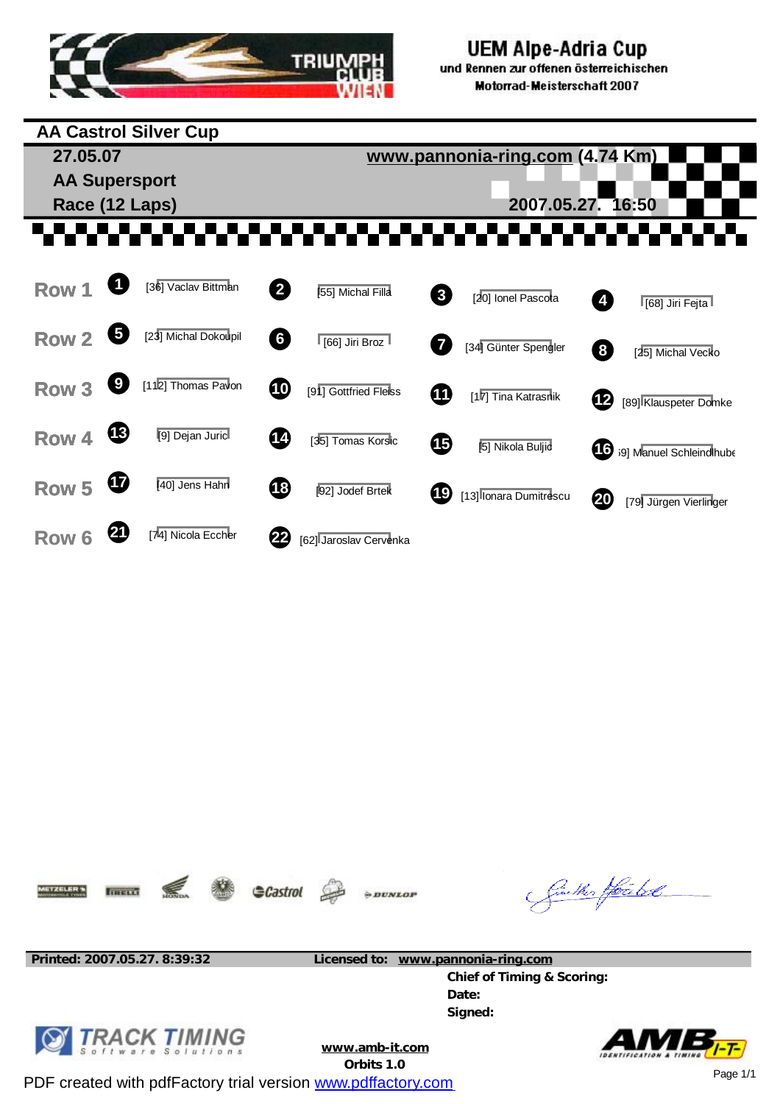

#### **UEM Alpe-Adria Cup** und Rennen zur offenen österreichischen Motorrad-Meisterschaft 2007

**AA Castrol Silver Cup 27.05.07 [www.pannonia-ring.com](http://www.pannonia-ring.com) (4.74 Km) AA Supersport Race (12 Laps) 2007.05.27. 16:50** -------**. . . . . Row 1 <sup>1</sup>** [36] Vaclav Bittman **<sup>2</sup>** [55] Michal Filla **Row <sup>3</sup>** [20] Ionel Pascota **<sup>4</sup>** [68] Jiri Fejta **Row 2 5** [23] Michal Dokoupil **6 1** [66] Jiri Broz **Row** [34] Günter Spengler **8** [25] Michal Vecko **Row 3 <sup>9</sup>** [112] Thomas Pavon **<sup>10</sup>** [91] Gottfried Fleiss **Row <sup>11</sup>** [17] Tina Katrasnik **<sup>12</sup>** [89] Klauspeter Domke **Row 4 13** [9] Dejan Juric **14 14** [35] Tomas Korsic **15** [5] Nikola Buljic **16** [69] Manuel Schleindlhube **Row 5 14 140** Jens Hahn **18 192** Jodef Brtek **Row 19** [13] Ionara Dumitrescu **20** [79] Jürgen Vierlinger **Row 6 <sup>21</sup>** [74] Nicola Eccher **<sup>22</sup>** [62] Jaroslav Cervenka









Ginether Hoa bol

**Printed: 2007.05.27. 8:39:32 Licensed to: [www.pannonia-ring.com](http://www.pannonia-ring.com)**

**Chief of Timing & Scoring: Date: Signed:**



**[www.amb-it.com](http://www.amb-it.com)**

**Orbits 1.0**

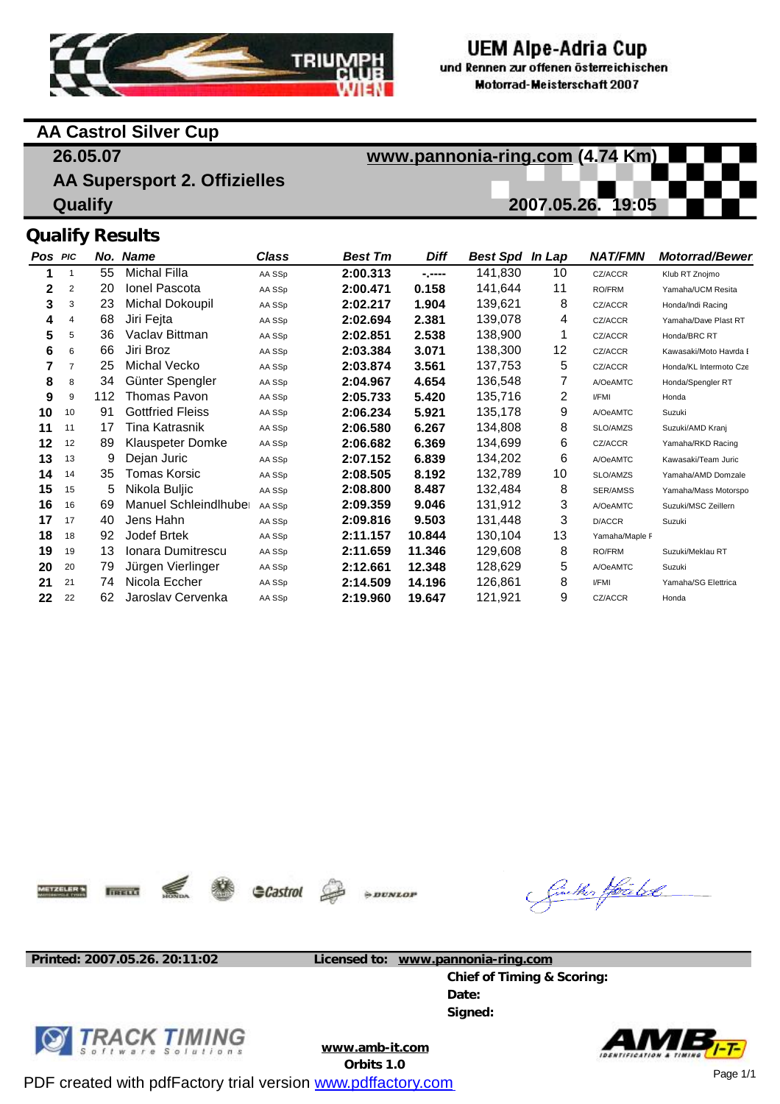

# UEM Alpe-Adria Cup

und Rennen zur offenen österreichischen **Motorrad-Meisterschaft 2007** 

## **AA Castrol Silver Cup**

**26.05.07 AA Supersport 2. Offizielles Qualify [www.pannonia-ring.com](http://www.pannonia-ring.com) (4.74 Km) 2007.05.26. 19:05 Qualify Results**

#### **Pos PIC 1 2 3 4 5 6 7 8 9 10 11 12 13 14 15 16 17 18 19 20 21 22** 1  $\mathcal{L}$ 3 4 5 6 7 8 9 10 11 12 13 14 15 16 17 18 19 20 21 22 *No. Name*  55 20 23 68 36 66 25 34 112 **91** 17 **89** 9 35 5 69 40 92 13 79 74 62 Michal Filla Ionel Pascota Michal Dokoupil Jiri Fejta Vaclav Bittman Jiri Broz Michal Vecko Günter Spengler Thomas Pavon Gottfried Fleiss Tina Katrasnik Klauspeter Domke Dejan Juric Tomas Korsic Nikola Buljic Manuel Schleindlhube Jens Hahn Jodef Brtek Ionara Dumitrescu Jürgen Vierlinger Nicola Eccher Jaroslav Cervenka *Class*  AA SSp AA SSp AA SSp AA SSp AA SSp AA SSp AA SSp AA SSp AA SSp AA SSp AA SSp AA SSp AA SSp AA SSp AA SSp AA SSp AA SSp AA SSp AA SSp AA SSp AA SSp AA SSp *Best Tm*  **2:00.313 2:00.471 2:02.217 2:02.694 2:02.851 2:03.384 2:03.874 2:04.967 2:05.733 2:06.234 2:06.580 2:06.682 2:07.152 2:08.505 2:08.800 2:09.359 2:09.816 2:11.157 2:11.659 2:12.661 2:14.509 2:19.960** *Diff*  **-.---- 0.158 1.904 2.381 2.538 3.071 3.561 4.654 5.420 5.921 6.267 6.369 6.839 8.192 8.487 9.046 9.503 10.844 11.346 12.348 14.196 19.647** *Best Spd In Lap*  141,830 141,644 139,621 139,078 138,900 138,300 137,753 136,548 135,716 135,178 134,808 134,699 134,202 132,789 132,484 131,912 131,448 130,104 129,608 128,629 126,861 121,921 10 11 8 4 1 12 5 7 2 9 8 6 6 10 8 3 3 13 8 5 8 9 *NAT/FMN*  CZ/ACCR RO/FRM CZ/ACCR CZ/ACCR CZ/ACCR CZ/ACCR CZ/ACCR A/OeAMTC I/FMI A/OeAMTC SLO/AMZS CZ/ACCR A/OeAMTC SLO/AMZS SER/AMSS A/OeAMTC D/ACCR Yamaha/Maple F RO/FRM A/OeAMTC I/FMI CZ/ACCR *Motorrad/Bewer* Klub RT Znojmo Yamaha/UCM Resita Honda/Indi Racing Yamaha/Dave Plast RT Honda/BRC RT Kawasaki/Moto Havrda B Honda/KL Intermoto Czech Honda/Spengler RT Honda Suzuki Suzuki/AMD Kranj Yamaha/RKD Racing Kawasaki/Team Juric Yamaha/AMD Domzale Yamaha/Mass Motorspo Suzuki/MSC Zeillern Suzuki Suzuki/Meklau RT Suzuki Yamaha/SG Elettrica Honda

**AETZELER'S** 

IIRELLI



 $\rightarrow DUNLOI$ 

Sinker Houbel

**Printed: 2007.05.26. 20:11:02 Licensed to: [www.pannonia-ring.com](http://www.pannonia-ring.com)**

**Chief of Timing & Scoring: Date: Signed:**



**[www.amb-it.com](http://www.amb-it.com)**

**Orbits 1.0**

![](_page_2_Picture_18.jpeg)